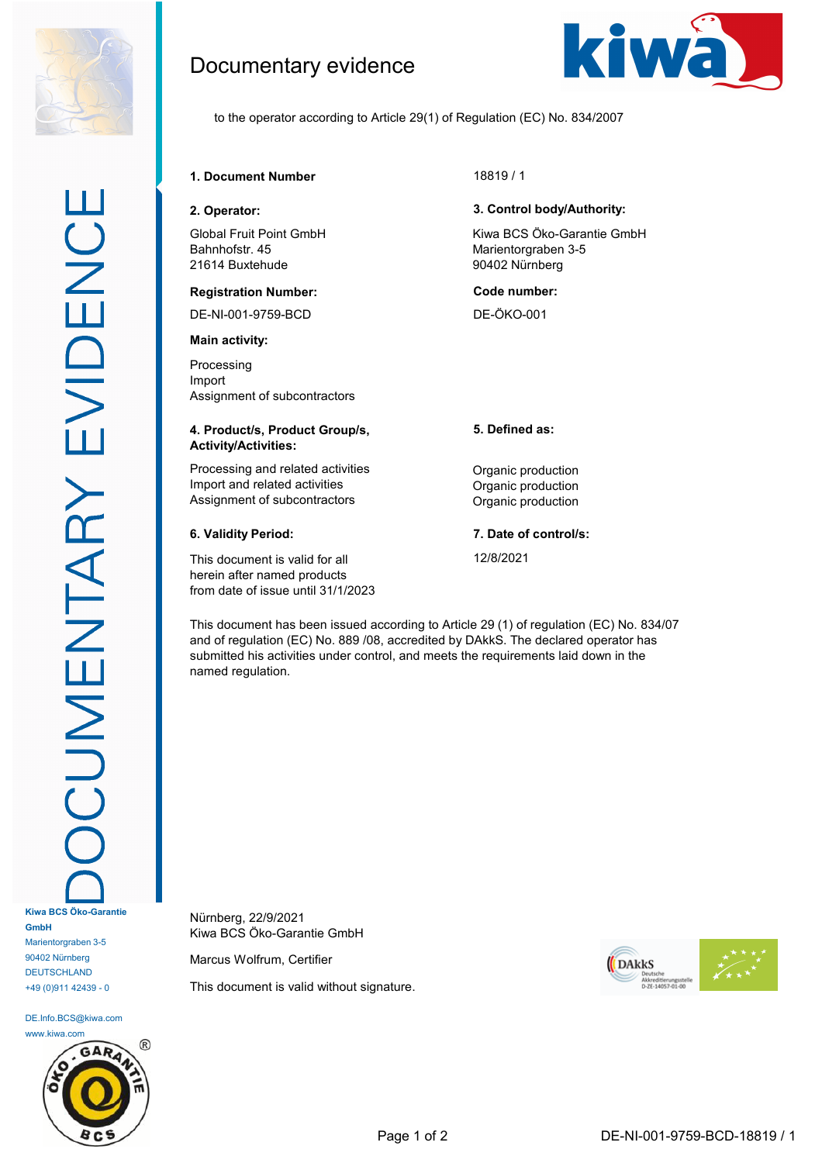

DE.Info.BCS@kiwa.com www.kiwa.com

+49 (0)911 42439 - 0



Documentary evidence



to the operator according to Article 29(1) of Regulation (EC) No. 834/2007

**1. Document Number** 18819 / 1

Global Fruit Point GmbH Bahnhofstr. 45 21614 Buxtehude

## **Registration Number: Code number:**

DE-NI-001-9759-BCD DE-ÖKO-001

**Main activity:**

Processing Import Assignment of subcontractors

## **4. Product/s, Product Group/s, Activity/Activities:**

Processing and related activities **Construction** Organic production Import and related activities **Import** and related activities Assignment of subcontractors **Contractors** Organic production

This document is valid for all herein after named products from date of issue until 31/1/2023

# **2. Operator: 3. Control body/Authority:**

Kiwa BCS Öko-Garantie GmbH Marientorgraben 3-5 90402 Nürnberg

**5. Defined as:**

**6. Validity Period: 7. Date of control/s:**

12/8/2021

This document has been issued according to Article 29 (1) of regulation (EC) No. 834/07 and of regulation (EC) No. 889 /08, accredited by DAkkS. The declared operator has submitted his activities under control, and meets the requirements laid down in the named regulation.

Nürnberg, 22/9/2021 Kiwa BCS Öko-Garantie GmbH

Marcus Wolfrum, Certifier

This document is valid without signature.